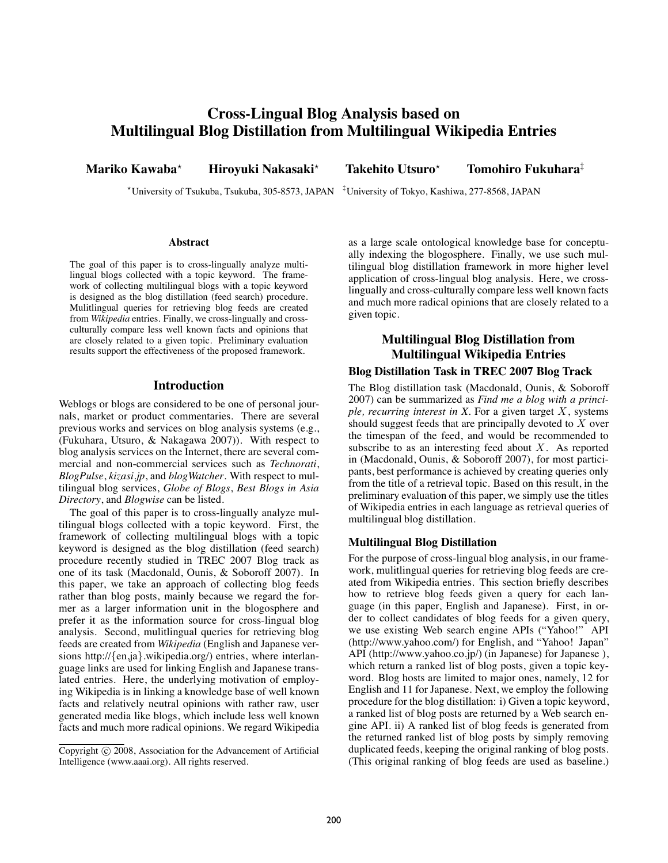# **Cross-Lingual Blog Analysis based on Multilingual Blog Distillation from Multilingual Wikipedia Entries**

**Mariko Kawaba**-

**Hiroyuki Nakasaki**-

 **Takehito Utsuro**-**Tomohiro Fukuhara**‡

-University of Tsukuba, Tsukuba, 305-8573, JAPAN ‡ University of Tokyo, Kashiwa, 277-8568, JAPAN

#### **Abstract**

The goal of this paper is to cross-lingually analyze multilingual blogs collected with a topic keyword. The framework of collecting multilingual blogs with a topic keyword is designed as the blog distillation (feed search) procedure. Mulitlingual queries for retrieving blog feeds are created from *Wikipedia* entries. Finally, we cross-lingually and crossculturally compare less well known facts and opinions that are closely related to a given topic. Preliminary evaluation results support the effectiveness of the proposed framework.

#### **Introduction**

Weblogs or blogs are considered to be one of personal journals, market or product commentaries. There are several previous works and services on blog analysis systems (e.g., (Fukuhara, Utsuro, & Nakagawa 2007)). With respect to blog analysis services on the Internet, there are several commercial and non-commercial services such as *Technorati*, *BlogPulse*, *kizasi.jp*, and *blogWatcher*. With respect to multilingual blog services, *Globe of Blogs*, *Best Blogs in Asia Directory*, and *Blogwise* can be listed.

The goal of this paper is to cross-lingually analyze multilingual blogs collected with a topic keyword. First, the framework of collecting multilingual blogs with a topic keyword is designed as the blog distillation (feed search) procedure recently studied in TREC 2007 Blog track as one of its task (Macdonald, Ounis, & Soboroff 2007). In this paper, we take an approach of collecting blog feeds rather than blog posts, mainly because we regard the former as a larger information unit in the blogosphere and prefer it as the information source for cross-lingual blog analysis. Second, mulitlingual queries for retrieving blog feeds are created from *Wikipedia* (English and Japanese versions http://{en,ja}.wikipedia.org/) entries, where interlanguage links are used for linking English and Japanese translated entries. Here, the underlying motivation of employing Wikipedia is in linking a knowledge base of well known facts and relatively neutral opinions with rather raw, user generated media like blogs, which include less well known facts and much more radical opinions. We regard Wikipedia as a large scale ontological knowledge base for conceptually indexing the blogosphere. Finally, we use such multilingual blog distillation framework in more higher level application of cross-lingual blog analysis. Here, we crosslingually and cross-culturally compare less well known facts and much more radical opinions that are closely related to a given topic.

## **Multilingual Blog Distillation from Multilingual Wikipedia Entries**

#### **Blog Distillation Task in TREC 2007 Blog Track**

The Blog distillation task (Macdonald, Ounis, & Soboroff 2007) can be summarized as *Find me a blog with a principle, recurring interest in X*. For a given target X, systems should suggest feeds that are principally devoted to  $X$  over the timespan of the feed, and would be recommended to subscribe to as an interesting feed about  $X$ . As reported in (Macdonald, Ounis, & Soboroff 2007), for most participants, best performance is achieved by creating queries only from the title of a retrieval topic. Based on this result, in the preliminary evaluation of this paper, we simply use the titles of Wikipedia entries in each language as retrieval queries of multilingual blog distillation.

## **Multilingual Blog Distillation**

For the purpose of cross-lingual blog analysis, in our framework, mulitlingual queries for retrieving blog feeds are created from Wikipedia entries. This section briefly describes how to retrieve blog feeds given a query for each language (in this paper, English and Japanese). First, in order to collect candidates of blog feeds for a given query, we use existing Web search engine APIs ("Yahoo!" API (http://www.yahoo.com/) for English, and "Yahoo! Japan" API (http://www.yahoo.co.jp/) (in Japanese) for Japanese), which return a ranked list of blog posts, given a topic keyword. Blog hosts are limited to major ones, namely, 12 for English and 11 for Japanese. Next, we employ the following procedure for the blog distillation: i) Given a topic keyword, a ranked list of blog posts are returned by a Web search engine API. ii) A ranked list of blog feeds is generated from the returned ranked list of blog posts by simply removing duplicated feeds, keeping the original ranking of blog posts. (This original ranking of blog feeds are used as baseline.)

Copyright  $\odot$  2008, Association for the Advancement of Artificial Intelligence (www.aaai.org). All rights reserved.